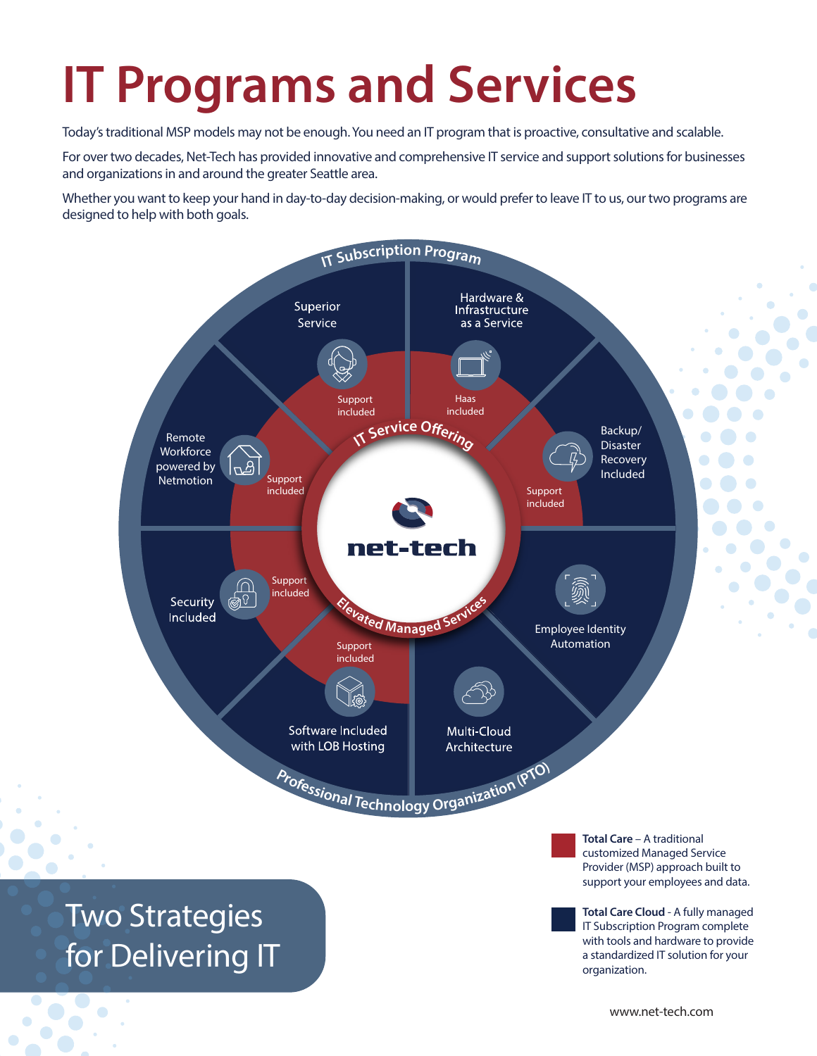## **IT Programs and Services**

Today's traditional MSP models may not be enough. You need an IT program that is proactive, consultative and scalable.

For over two decades, Net-Tech has provided innovative and comprehensive IT service and support solutions for businesses and organizations in and around the greater Seattle area.

Whether you want to keep your hand in day-to-day decision-making, or would prefer to leave IT to us, our two programs are designed to help with both goals.



**Total Care** – A traditional customized Managed Service Provider (MSP) approach built to support your employees and data.

**Total Care Cloud** - A fully managed IT Subscription Program complete with tools and hardware to provide a standardized IT solution for your organization.

Two Strategies for Delivering IT

www.net-tech.com